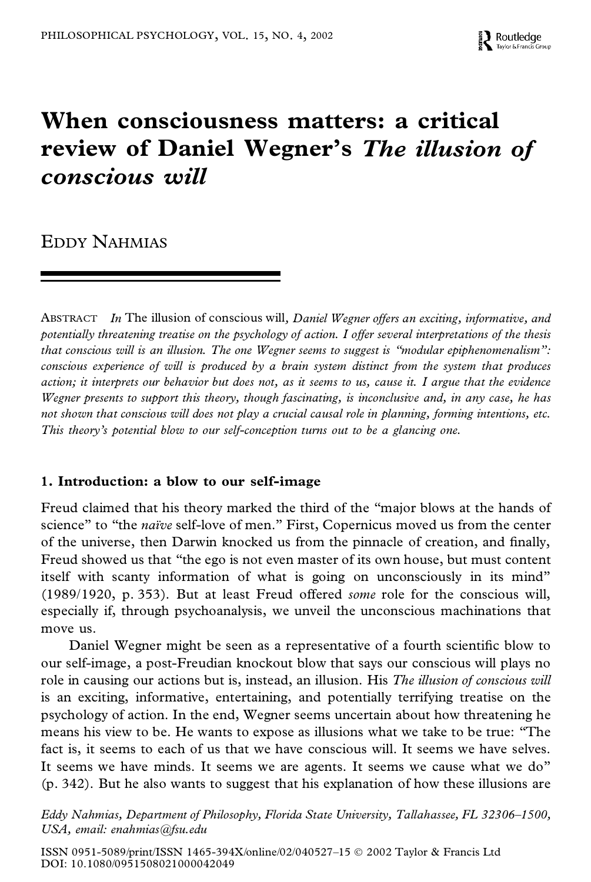# **When consciousness matters: a critical review ofDaniel Wegner's** *The illusion of conscious will*

EDDY NAHMIAS

ABSTRACT *In* The illusion of conscious will*, Daniel Wegner offers an exciting, informative, and potentially threatening treatise on the psychology of action. I offer several interpretations of the thesis that conscious will is an illusion. The one Wegner seems to suggest is "modular epiphenomenalism": conscious experience of will is produced by a brain system distinct from the system that produces* action; it interprets our behavior but does not, as it seems to us, cause it. I argue that the evidence *Wegner presents to support this theory, though fascinating, is inconclusive and, in any case, he has not shown that conscious will does not play a crucial causal role in planning, forming intentions, etc. This theory's potential blow to our self-conception turns out to be a glancing one.*

## **1. Introduction: a blow to our self-image**

Freud claimed that his theory marked the third of the "major blows at the hands of science" to "the *naïve* self-love of men." First, Copernicus moved us from the center of the universe, then Darwin knocked us from the pinnacle of creation, and finally, Freud showed us that "the ego is not even master of its own house, but must content itself with scanty information of what is going on unconsciously in its mind" (1989/1920, p. 353). But at least Freud offered *some* role for the conscious will, especially if, through psychoanalysis, we unveil the unconscious machinations that move us.

Daniel Wegner might be seen as a representative of a fourth scientific blow to our self-image, a post-Freudian knockout blow that says our conscious will plays no role in causing our actions but is, instead, an illusion. His *The illusion of conscious will* is an exciting, informative, entertaining, and potentially terrifying treatise on the psychology of action. In the end, Wegner seems uncertain about how threatening he means his view to be. He wants to expose as illusions what we take to be true: "The fact is, it seems to each of us that we have conscious will. It seems we have selves. It seems we have minds. It seems we are agents. It seems we cause what we do" (p. 342). But he also wants to suggest that his explanation of how these illusions are

*Eddy Nahmias, Department of Philosophy, Florida State University, Tallahassee, FL 32306–1500, USA, email: enahmias@fsu.edu*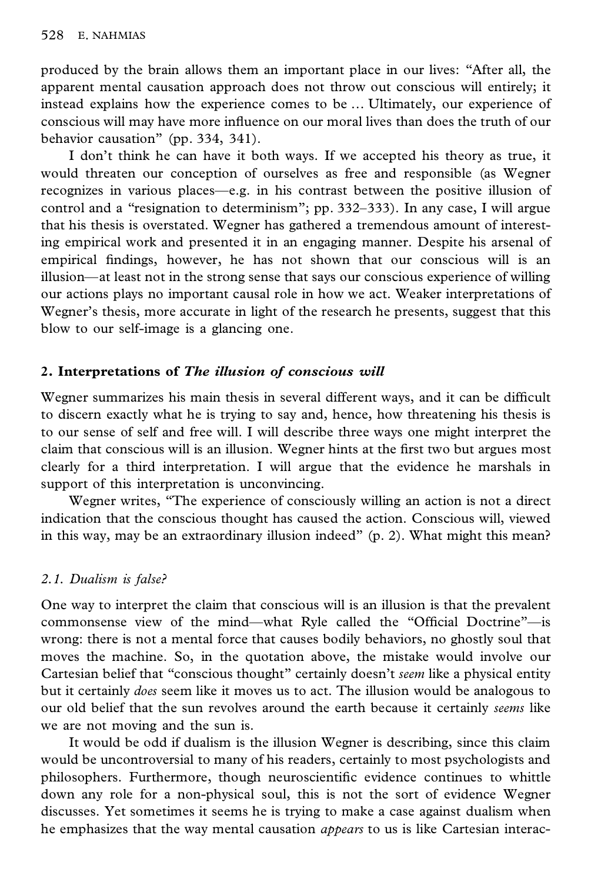produced by the brain allows them an important place in our lives: "After all, the apparent mental causation approach does not throw out conscious will entirely; it instead explains how the experience comes to be … Ultimately, our experience of conscious will may have more influence on our moral lives than does the truth of our behavior causation" (pp. 334, 341).

I don't think he can have it both ways. If we accepted his theory as true, it would threaten our conception of ourselves as free and responsible (as Wegner recognizes in various places—e.g. in his contrast between the positive illusion of control and a "resignation to determinism"; pp. 332–333). In any case, I will argue that his thesis is overstated. Wegner has gathered a tremendous amount of interesting empirical work and presented it in an engaging manner. Despite his arsenal of empirical findings, however, he has not shown that our conscious will is an illusion—at least not in the strong sense that says our conscious experience of willing our actions plays no important causal role in how we act. Weaker interpretations of Wegner's thesis, more accurate in light of the research he presents, suggest that this blow to our self-image is a glancing one.

## **2. Interpretations of** *The illusion of conscious will*

Wegner summarizes his main thesis in several different ways, and it can be difficult to discern exactly what he is trying to say and, hence, how threatening his thesis is to our sense of self and free will. I will describe three ways one might interpret the claim that conscious will is an illusion. Wegner hints at the first two but argues most clearly for a third interpretation. I will argue that the evidence he marshals in support of this interpretation is unconvincing.

Wegner writes, "The experience of consciously willing an action is not a direct indication that the conscious thought has caused the action. Conscious will, viewed in this way, may be an extraordinary illusion indeed" (p. 2). What might this mean?

## *2.1. Dualism is false?*

One way to interpret the claim that conscious will is an illusion is that the prevalent commonsense view of the mind—what Ryle called the "Official Doctrine"—is wrong: there is not a mental force that causes bodily behaviors, no ghostly soul that moves the machine. So, in the quotation above, the mistake would involve our Cartesian belief that "conscious thought" certainly doesn't *seem* like a physical entity but it certainly *does* seem like it moves us to act. The illusion would be analogous to our old belief that the sun revolves around the earth because it certainly *seems* like we are not moving and the sun is.

It would be odd if dualism is the illusion Wegner is describing, since this claim would be uncontroversial to many of his readers, certainly to most psychologists and philosophers. Furthermore, though neuroscientific evidence continues to whittle down any role for a non-physical soul, this is not the sort of evidence Wegner discusses. Yet sometimes it seems he is trying to make a case against dualism when he emphasizes that the way mental causation *appears* to us is like Cartesian interac-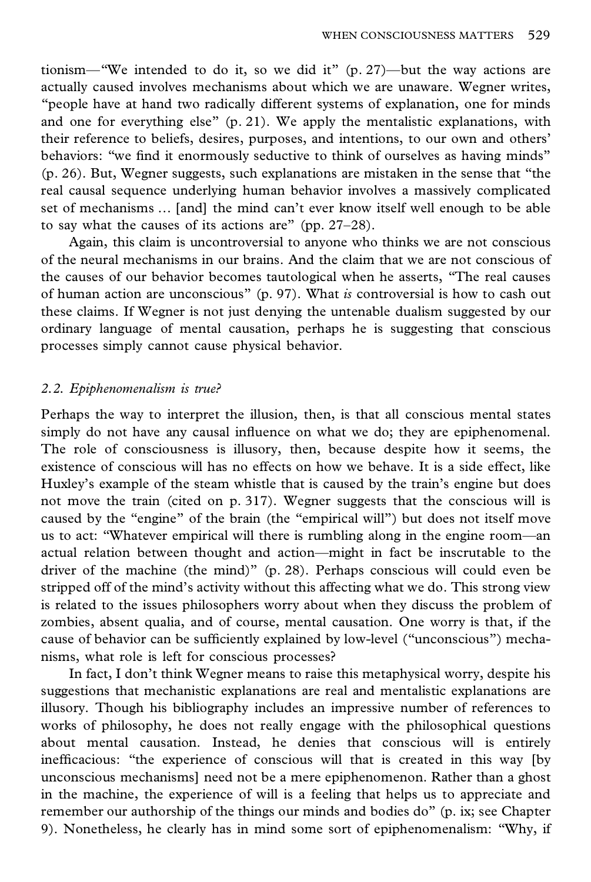tionism—"We intended to do it, so we did it"  $(p, 27)$ —but the way actions are actually caused involves mechanisms about which we are unaware. Wegner writes, "people have at hand two radically different systems of explanation, one for minds and one for everything else" (p. 21). We apply the mentalistic explanations, with their reference to beliefs, desires, purposes, and intentions, to our own and others' behaviors: "we find it enormously seductive to think of ourselves as having minds" (p. 26). But, Wegner suggests, such explanations are mistaken in the sense that "the real causal sequence underlying human behavior involves a massively complicated set of mechanisms … [and] the mind can't ever know itself well enough to be able to say what the causes of its actions are" (pp. 27–28).

Again, this claim is uncontroversial to anyone who thinks we are not conscious of the neural mechanisms in our brains. And the claim that we are not conscious of the causes of our behavior becomes tautological when he asserts, "The real causes of human action are unconscious" (p. 97). What *is* controversial is how to cash out these claims. If Wegner is not just denying the untenable dualism suggested by our ordinary language of mental causation, perhaps he is suggesting that conscious processes simply cannot cause physical behavior.

## *2.2. Epiphenomenalism is true?*

Perhaps the way to interpret the illusion, then, is that all conscious mental states simply do not have any causal influence on what we do; they are epiphenomenal. The role of consciousness is illusory, then, because despite how it seems, the existence of conscious will has no effects on how we behave. It is a side effect, like Huxley's example of the steam whistle that is caused by the train's engine but does not move the train (cited on p. 317). Wegner suggests that the conscious will is caused by the "engine" of the brain (the "empirical will") but does not itself move us to act: "Whatever empirical will there is rumbling along in the engine room—an actual relation between thought and action—might in fact be inscrutable to the driver of the machine (the mind)" (p. 28). Perhaps conscious will could even be stripped off of the mind's activity without this affecting what we do. This strong view is related to the issues philosophers worry about when they discuss the problem of zombies, absent qualia, and of course, mental causation. One worry is that, if the cause of behavior can be sufficiently explained by low-level ("unconscious") mechanisms, what role is left for conscious processes?

In fact, I don't think Wegner means to raise this metaphysical worry, despite his suggestions that mechanistic explanations are real and mentalistic explanations are illusory. Though his bibliography includes an impressive number of references to works of philosophy, he does not really engage with the philosophical questions about mental causation. Instead, he denies that conscious will is entirely inefficacious: "the experience of conscious will that is created in this way [by unconscious mechanisms] need not be a mere epiphenomenon. Rather than a ghost in the machine, the experience of will is a feeling that helps us to appreciate and remember our authorship of the things our minds and bodies do" (p. ix; see Chapter 9). Nonetheless, he clearly has in mind some sort of epiphenomenalism: "Why, if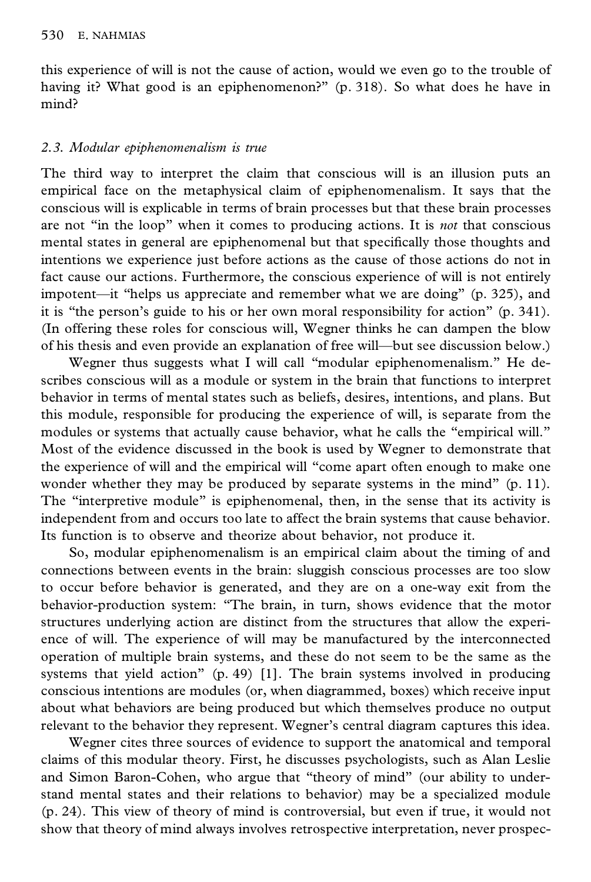this experience of will is not the cause of action, would we even go to the trouble of having it? What good is an epiphenomenon?" (p. 318). So what does he have in mind?

## *2.3. Modular epiphenomenalism is true*

The third way to interpret the claim that conscious will is an illusion puts an empirical face on the metaphysical claim of epiphenomenalism. It says that the conscious will is explicable in terms of brain processes but that these brain processes are not "in the loop" when it comes to producing actions. It is *not* that conscious mental states in general are epiphenomenal but that specifically those thoughts and intentions we experience just before actions as the cause of those actions do not in fact cause our actions. Furthermore, the conscious experience of will is not entirely impotent—it "helps us appreciate and remember what we are doing" (p. 325), and it is "the person's guide to his or her own moral responsibility for action" (p. 341). (In offering these roles for conscious will, Wegner thinks he can dampen the blow of his thesis and even provide an explanation of free will—but see discussion below.)

Wegner thus suggests what I will call "modular epiphenomenalism." He describes conscious will as a module or system in the brain that functions to interpret behavior in terms of mental states such as beliefs, desires, intentions, and plans. But this module, responsible for producing the experience of will, is separate from the modules or systems that actually cause behavior, what he calls the "empirical will." Most of the evidence discussed in the book is used by Wegner to demonstrate that the experience of will and the empirical will "come apart often enough to make one wonder whether they may be produced by separate systems in the mind" (p. 11). The "interpretive module" is epiphenomenal, then, in the sense that its activity is independent from and occurs too late to affect the brain systems that cause behavior. Its function is to observe and theorize about behavior, not produce it.

So, modular epiphenomenalism is an empirical claim about the timing of and connections between events in the brain: sluggish conscious processes are too slow to occur before behavior is generated, and they are on a one-way exit from the behavior-production system: "The brain, in turn, shows evidence that the motor structures underlying action are distinct from the structures that allow the experience of will. The experience of will may be manufactured by the interconnected operation of multiple brain systems, and these do not seem to be the same as the systems that yield action" (p. 49) [1]. The brain systems involved in producing conscious intentions are modules (or, when diagrammed, boxes) which receive input about what behaviors are being produced but which themselves produce no output relevant to the behavior they represent. Wegner's central diagram captures this idea.

Wegner cites three sources of evidence to support the anatomical and temporal claims of this modular theory. First, he discusses psychologists, such as Alan Leslie and Simon Baron-Cohen, who argue that "theory of mind" (our ability to understand mental states and their relations to behavior) may be a specialized module (p. 24). This view of theory of mind is controversial, but even if true, it would not show that theory of mind always involves retrospective interpretation, never prospec-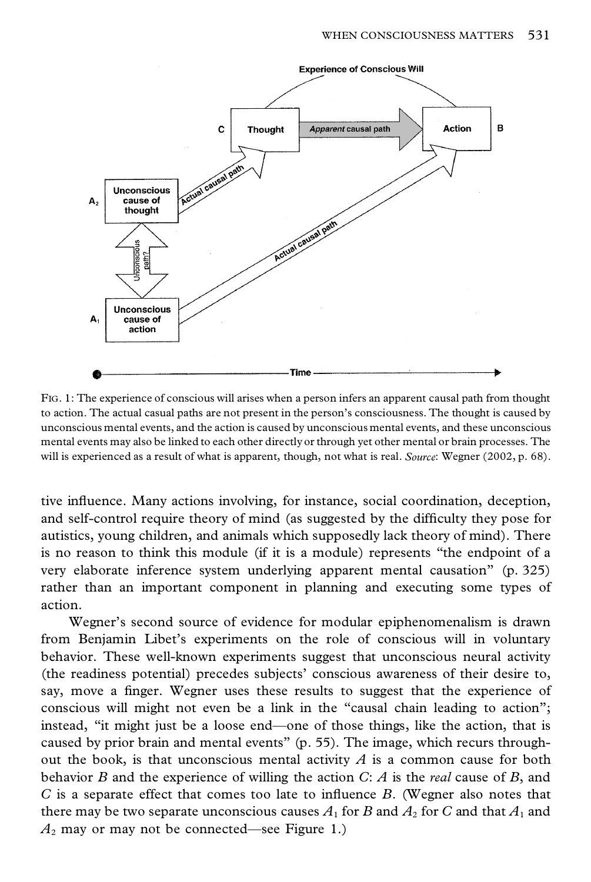

FIG. 1: The experience of conscious will arises when a person infers an apparent causal path from thought to action. The actual casual paths are not present in the person's consciousness. The thought is caused by unconscious mental events, and the action is caused by unconscious mental events, and these unconscious mental events may also be linked to each other directly or through yet other mental or brain processes. The will is experienced as a result of what is apparent, though, not what is real. *Source*: Wegner (2002, p. 68).

tive influence. Many actions involving, for instance, social coordination, deception, and self-control require theory of mind (as suggested by the difficulty they pose for autistics, young children, and animals which supposedly lack theory of mind). There is no reason to think this module (if it is a module) represents "the endpoint of a very elaborate inference system underlying apparent mental causation" (p. 325) rather than an important component in planning and executing some types of action.

Wegner's second source of evidence for modular epiphenomenalism is drawn from Benjamin Libet's experiments on the role of conscious will in voluntary behavior. These well-known experiments suggest that unconscious neural activity (the readiness potential) precedes subjects' conscious awareness of their desire to, say, move a finger. Wegner uses these results to suggest that the experience of conscious will might not even be a link in the "causal chain leading to action"; instead, "it might just be a loose end—one of those things, like the action, that is caused by prior brain and mental events" (p. 55). The image, which recurs throughout the book, is that unconscious mental activity  $A$  is a common cause for both behavior *B* and the experience of willing the action *C*: *A* is the *real* cause of *B*, and *C* is a separate effect that comes too late to influence *B*. (Wegner also notes that there may be two separate unconscious causes  $A_1$  for *B* and  $A_2$  for *C* and that  $A_1$  and *A*<sup>2</sup> may or may not be connected—see Figure 1.)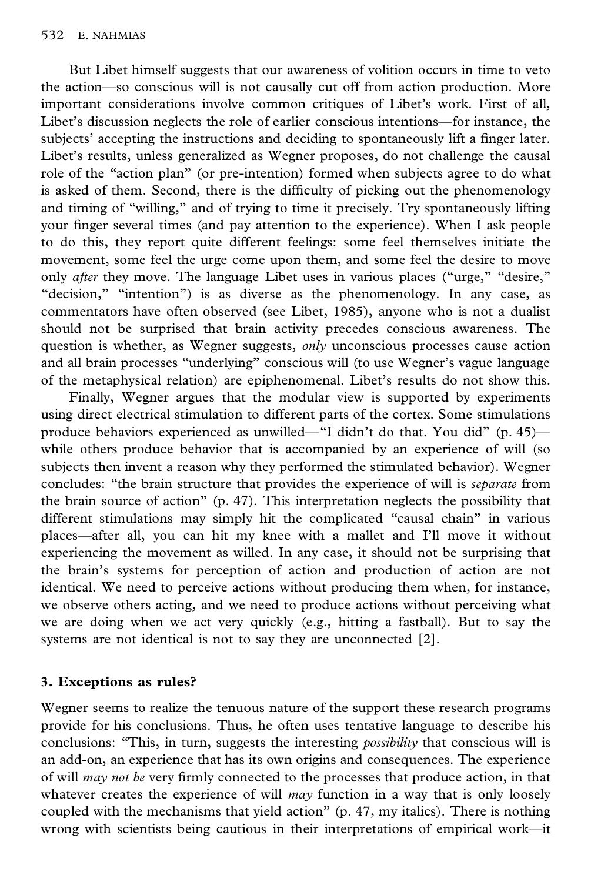But Libet himself suggests that our awareness of volition occurs in time to veto the action—so conscious will is not causally cut off from action production. More important considerations involve common critiques of Libet's work. First of all, Libet's discussion neglects the role of earlier conscious intentions—for instance, the subjects' accepting the instructions and deciding to spontaneously lift a finger later. Libet's results, unless generalized as Wegner proposes, do not challenge the causal role of the "action plan" (or pre-intention) formed when subjects agree to do what is asked of them. Second, there is the difficulty of picking out the phenomenology and timing of "willing," and of trying to time it precisely. Try spontaneously lifting your finger several times (and pay attention to the experience). When I ask people to do this, they report quite different feelings: some feel themselves initiate the movement, some feel the urge come upon them, and some feel the desire to move only *after* they move. The language Libet uses in various places ("urge," "desire," "decision," "intention") is as diverse as the phenomenology. In any case, as commentators have often observed (see Libet, 1985), anyone who is not a dualist should not be surprised that brain activity precedes conscious awareness. The question is whether, as Wegner suggests, *only* unconscious processes cause action and all brain processes "underlying" conscious will (to use Wegner's vague language of the metaphysical relation) are epiphenomenal. Libet's results do not show this.

Finally, Wegner argues that the modular view is supported by experiments using direct electrical stimulation to different parts of the cortex. Some stimulations produce behaviors experienced as unwilled—"I didn't do that. You did" (p. 45) while others produce behavior that is accompanied by an experience of will (so subjects then invent a reason why they performed the stimulated behavior). Wegner concludes: "the brain structure that provides the experience of will is *separate* from the brain source of action" (p. 47). This interpretation neglects the possibility that different stimulations may simply hit the complicated "causal chain" in various places—after all, you can hit my knee with a mallet and I'll move it without experiencing the movement as willed. In any case, it should not be surprising that the brain's systems for perception of action and production of action are not identical. We need to perceive actions without producing them when, for instance, we observe others acting, and we need to produce actions without perceiving what we are doing when we act very quickly (e.g., hitting a fastball). But to say the systems are not identical is not to say they are unconnected [2].

## **3. Exceptions as rules?**

Wegner seems to realize the tenuous nature of the support these research programs provide for his conclusions. Thus, he often uses tentative language to describe his conclusions: "This, in turn, suggests the interesting *possibility* that conscious will is an add-on, an experience that has its own origins and consequences. The experience of will *may not be* very firmly connected to the processes that produce action, in that whatever creates the experience of will *may* function in a way that is only loosely coupled with the mechanisms that yield action" (p. 47, my italics). There is nothing wrong with scientists being cautious in their interpretations of empirical work—it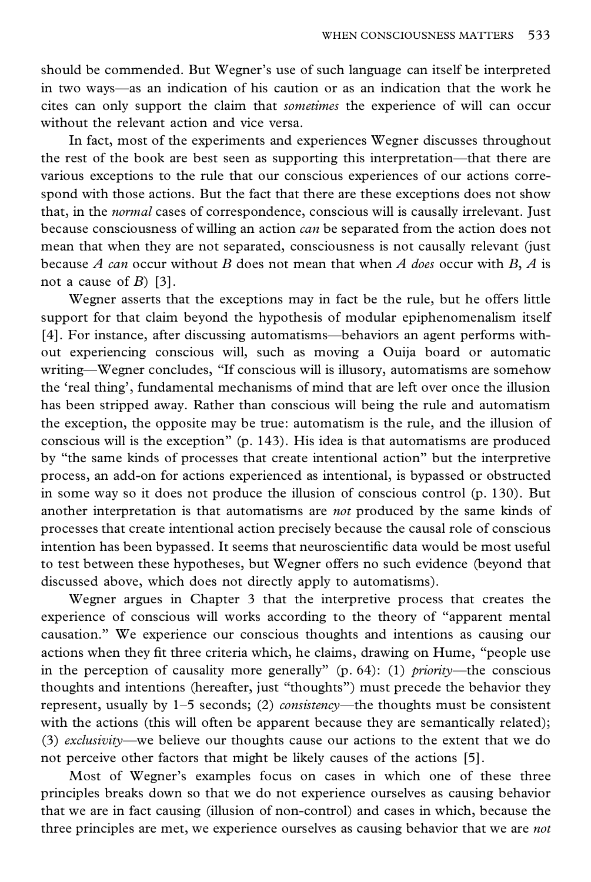should be commended. But Wegner's use of such language can itself be interpreted in two ways—as an indication of his caution or as an indication that the work he cites can only support the claim that *sometimes* the experience of will can occur without the relevant action and vice versa.

In fact, most of the experiments and experiences Wegner discusses throughout the rest of the book are best seen as supporting this interpretation—that there are various exceptions to the rule that our conscious experiences of our actions correspond with those actions. But the fact that there are these exceptions does not show that, in the *normal* cases of correspondence, conscious will is causally irrelevant. Just because consciousness of willing an action *can* be separated from the action does not mean that when they are not separated, consciousness is not causally relevant (just because *A can* occur without *B* does not mean that when *A does* occur with *B*, *A* is not a cause of *B*) [3].

Wegner asserts that the exceptions may in fact be the rule, but he offers little support for that claim beyond the hypothesis of modular epiphenomenalism itself [4]. For instance, after discussing automatisms—behaviors an agent performs without experiencing conscious will, such as moving a Ouija board or automatic writing—Wegner concludes, "If conscious will is illusory, automatisms are somehow the 'real thing', fundamental mechanisms of mind that are left over once the illusion has been stripped away. Rather than conscious will being the rule and automatism the exception, the opposite may be true: automatism is the rule, and the illusion of conscious will is the exception" (p. 143). His idea is that automatisms are produced by "the same kinds of processes that create intentional action" but the interpretive process, an add-on for actions experienced as intentional, is bypassed or obstructed in some way so it does not produce the illusion of conscious control (p. 130). But another interpretation is that automatisms are *not* produced by the same kinds of processes that create intentional action precisely because the causal role of conscious intention has been bypassed. It seems that neuroscientific data would be most useful to test between these hypotheses, but Wegner offers no such evidence (beyond that discussed above, which does not directly apply to automatisms).

Wegner argues in Chapter 3 that the interpretive process that creates the experience of conscious will works according to the theory of "apparent mental causation." We experience our conscious thoughts and intentions as causing our actions when they fit three criteria which, he claims, drawing on Hume, "people use in the perception of causality more generally" (p. 64): (1) *priority*—the conscious thoughts and intentions (hereafter, just "thoughts") must precede the behavior they represent, usually by 1–5 seconds; (2) *consistency*—the thoughts must be consistent with the actions (this will often be apparent because they are semantically related); (3) *exclusivity*—we believe our thoughts cause our actions to the extent that we do not perceive other factors that might be likely causes of the actions [5].

Most of Wegner's examples focus on cases in which one of these three principles breaks down so that we do not experience ourselves as causing behavior that we are in fact causing (illusion of non-control) and cases in which, because the three principles are met, we experience ourselves as causing behavior that we are *not*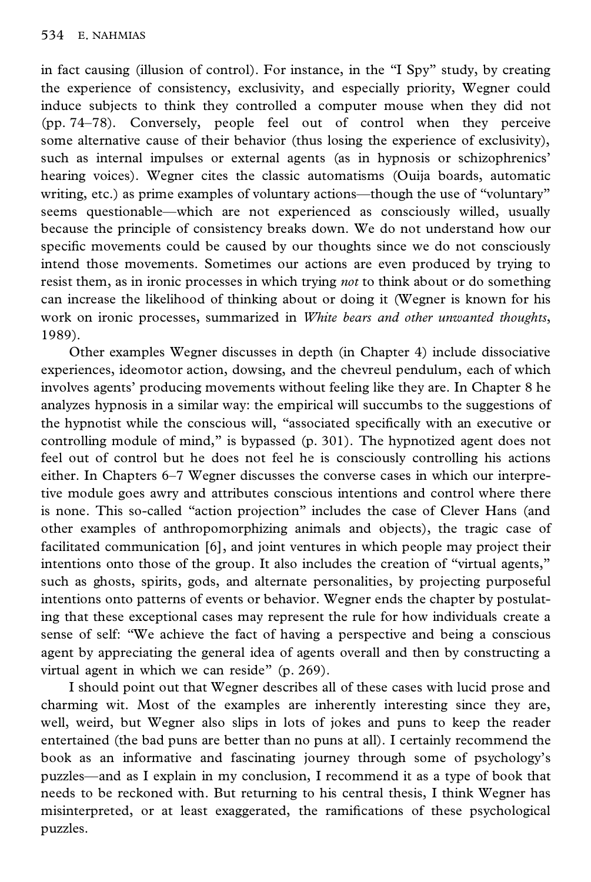in fact causing (illusion of control). For instance, in the "I Spy" study, by creating the experience of consistency, exclusivity, and especially priority, Wegner could induce subjects to think they controlled a computer mouse when they did not (pp. 74–78). Conversely, people feel out of control when they perceive some alternative cause of their behavior (thus losing the experience of exclusivity), such as internal impulses or external agents (as in hypnosis or schizophrenics' hearing voices). Wegner cites the classic automatisms (Ouija boards, automatic writing, etc.) as prime examples of voluntary actions—though the use of "voluntary" seems questionable—which are not experienced as consciously willed, usually because the principle of consistency breaks down. We do not understand how our specific movements could be caused by our thoughts since we do not consciously intend those movements. Sometimes our actions are even produced by trying to resist them, as in ironic processes in which trying *not* to think about or do something can increase the likelihood of thinking about or doing it (Wegner is known for his work on ironic processes, summarized in *White bears and other unwanted thoughts*, 1989).

Other examples Wegner discusses in depth (in Chapter 4) include dissociative experiences, ideomotor action, dowsing, and the chevreul pendulum, each of which involves agents' producing movements without feeling like they are. In Chapter 8 he analyzes hypnosis in a similar way: the empirical will succumbs to the suggestions of the hypnotist while the conscious will, "associated specifically with an executive or controlling module of mind," is bypassed (p. 301). The hypnotized agent does not feel out of control but he does not feel he is consciously controlling his actions either. In Chapters 6–7 Wegner discusses the converse cases in which our interpretive module goes awry and attributes conscious intentions and control where there is none. This so-called "action projection" includes the case of Clever Hans (and other examples of anthropomorphizing animals and objects), the tragic case of facilitated communication [6], and joint ventures in which people may project their intentions onto those of the group. It also includes the creation of "virtual agents," such as ghosts, spirits, gods, and alternate personalities, by projecting purposeful intentions onto patterns of events or behavior. Wegner ends the chapter by postulating that these exceptional cases may represent the rule for how individuals create a sense of self: "We achieve the fact of having a perspective and being a conscious agent by appreciating the general idea of agents overall and then by constructing a virtual agent in which we can reside" (p. 269).

I should point out that Wegner describes all of these cases with lucid prose and charming wit. Most of the examples are inherently interesting since they are, well, weird, but Wegner also slips in lots of jokes and puns to keep the reader entertained (the bad puns are better than no puns at all). I certainly recommend the book as an informative and fascinating journey through some of psychology's puzzles—and as I explain in my conclusion, I recommend it as a type of book that needs to be reckoned with. But returning to his central thesis, I think Wegner has misinterpreted, or at least exaggerated, the ramifications of these psychological puzzles.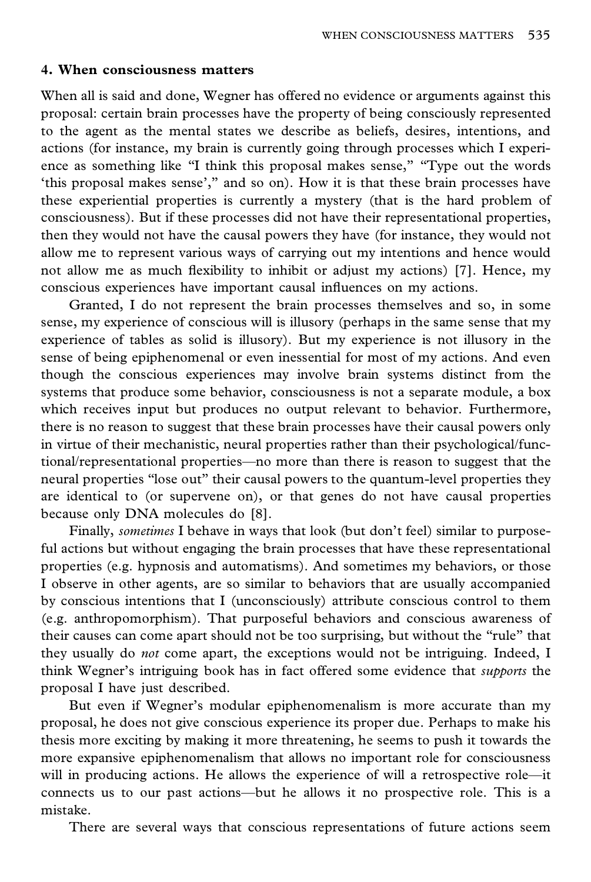## **4. When consciousness matters**

When all is said and done, Wegner has offered no evidence or arguments against this proposal: certain brain processes have the property of being consciously represented to the agent as the mental states we describe as beliefs, desires, intentions, and actions (for instance, my brain is currently going through processes which I experience as something like "I think this proposal makes sense," "Type out the words 'this proposal makes sense'," and so on). How it is that these brain processes have these experiential properties is currently a mystery (that is the hard problem of consciousness). But if these processes did not have their representational properties, then they would not have the causal powers they have (for instance, they would not allow me to represent various ways of carrying out my intentions and hence would not allow me as much flexibility to inhibit or adjust my actions) [7]. Hence, my conscious experiences have important causal influences on my actions.

Granted, I do not represent the brain processes themselves and so, in some sense, my experience of conscious will is illusory (perhaps in the same sense that my experience of tables as solid is illusory). But my experience is not illusory in the sense of being epiphenomenal or even inessential for most of my actions. And even though the conscious experiences may involve brain systems distinct from the systems that produce some behavior, consciousness is not a separate module, a box which receives input but produces no output relevant to behavior. Furthermore, there is no reason to suggest that these brain processes have their causal powers only in virtue of their mechanistic, neural properties rather than their psychological/functional/representational properties—no more than there is reason to suggest that the neural properties "lose out" their causal powers to the quantum-level properties they are identical to (or supervene on), or that genes do not have causal properties because only DNA molecules do [8].

Finally, *sometimes* I behave in ways that look (but don't feel) similar to purposeful actions but without engaging the brain processes that have these representational properties (e.g. hypnosis and automatisms). And sometimes my behaviors, or those I observe in other agents, are so similar to behaviors that are usually accompanied by conscious intentions that I (unconsciously) attribute conscious control to them (e.g. anthropomorphism). That purposeful behaviors and conscious awareness of their causes can come apart should not be too surprising, but without the "rule" that they usually do *not* come apart, the exceptions would not be intriguing. Indeed, I think Wegner's intriguing book has in fact offered some evidence that *supports* the proposal I have just described.

But even if Wegner's modular epiphenomenalism is more accurate than my proposal, he does not give conscious experience its proper due. Perhaps to make his thesis more exciting by making it more threatening, he seems to push it towards the more expansive epiphenomenalism that allows no important role for consciousness will in producing actions. He allows the experience of will a retrospective role—it connects us to our past actions—but he allows it no prospective role. This is a mistake.

There are several ways that conscious representations of future actions seem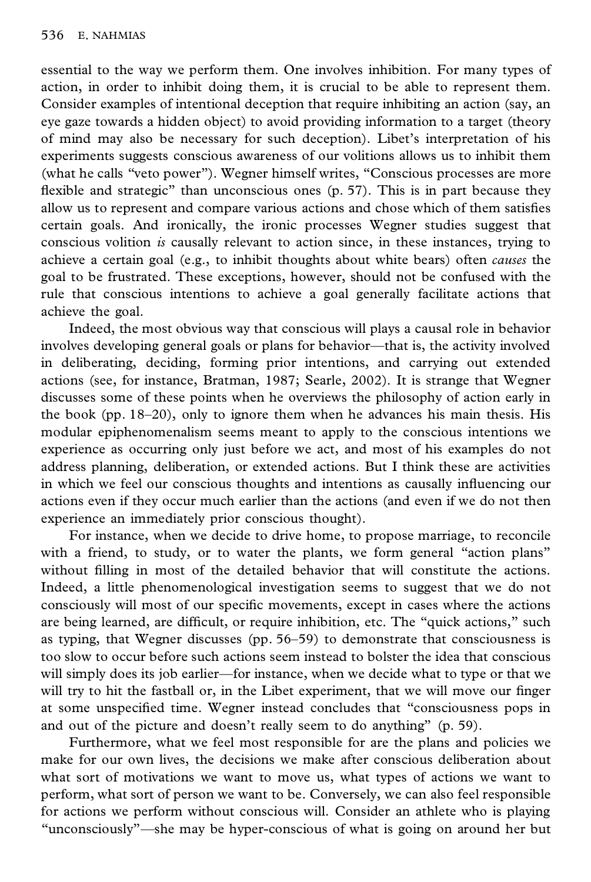essential to the way we perform them. One involves inhibition. For many types of action, in order to inhibit doing them, it is crucial to be able to represent them. Consider examples of intentional deception that require inhibiting an action (say, an eye gaze towards a hidden object) to avoid providing information to a target (theory of mind may also be necessary for such deception). Libet's interpretation of his experiments suggests conscious awareness of our volitions allows us to inhibit them (what he calls "veto power"). Wegner himself writes, "Conscious processes are more flexible and strategic" than unconscious ones  $(p, 57)$ . This is in part because they allow us to represent and compare various actions and chose which of them satisfies certain goals. And ironically, the ironic processes Wegner studies suggest that conscious volition *is* causally relevant to action since, in these instances, trying to achieve a certain goal (e.g., to inhibit thoughts about white bears) often *causes* the goal to be frustrated. These exceptions, however, should not be confused with the rule that conscious intentions to achieve a goal generally facilitate actions that achieve the goal.

Indeed, the most obvious way that conscious will plays a causal role in behavior involves developing general goals or plans for behavior—that is, the activity involved in deliberating, deciding, forming prior intentions, and carrying out extended actions (see, for instance, Bratman, 1987; Searle, 2002). It is strange that Wegner discusses some of these points when he overviews the philosophy of action early in the book (pp. 18–20), only to ignore them when he advances his main thesis. His modular epiphenomenalism seems meant to apply to the conscious intentions we experience as occurring only just before we act, and most of his examples do not address planning, deliberation, or extended actions. But I think these are activities in which we feel our conscious thoughts and intentions as causally influencing our actions even if they occur much earlier than the actions (and even if we do not then experience an immediately prior conscious thought).

For instance, when we decide to drive home, to propose marriage, to reconcile with a friend, to study, or to water the plants, we form general "action plans" without filling in most of the detailed behavior that will constitute the actions. Indeed, a little phenomenological investigation seems to suggest that we do not consciously will most of our specific movements, except in cases where the actions are being learned, are difficult, or require inhibition, etc. The "quick actions," such as typing, that Wegner discusses (pp. 56–59) to demonstrate that consciousness is too slow to occur before such actions seem instead to bolster the idea that conscious will simply does its job earlier—for instance, when we decide what to type or that we will try to hit the fastball or, in the Libet experiment, that we will move our finger at some unspecified time. Wegner instead concludes that "consciousness pops in and out of the picture and doesn't really seem to do anything" (p. 59).

Furthermore, what we feel most responsible for are the plans and policies we make for our own lives, the decisions we make after conscious deliberation about what sort of motivations we want to move us, what types of actions we want to perform, what sort of person we want to be. Conversely, we can also feel responsible for actions we perform without conscious will. Consider an athlete who is playing "unconsciously"—she may be hyper-conscious of what is going on around her but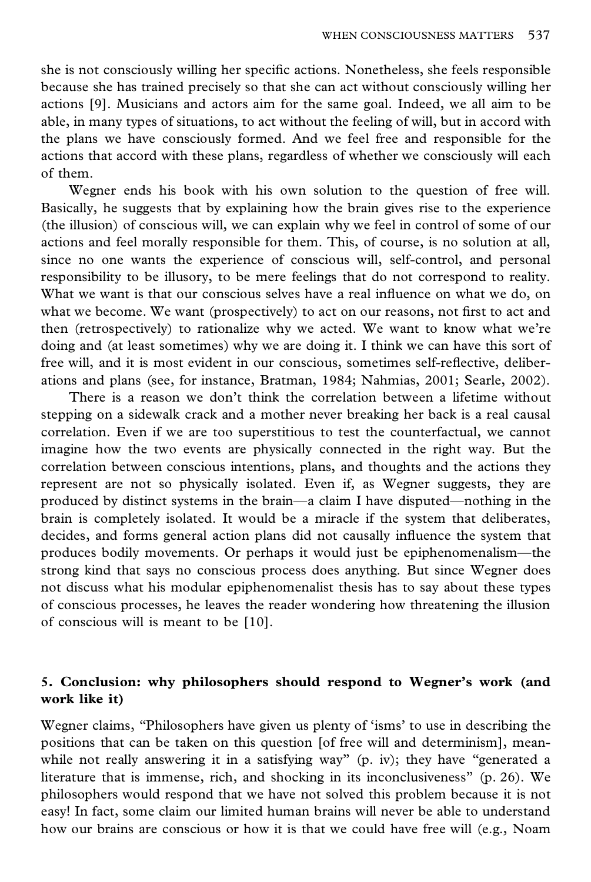she is not consciously willing her specific actions. Nonetheless, she feels responsible because she has trained precisely so that she can act without consciously willing her actions [9]. Musicians and actors aim for the same goal. Indeed, we all aim to be able, in many types of situations, to act without the feeling of will, but in accord with the plans we have consciously formed. And we feel free and responsible for the actions that accord with these plans, regardless of whether we consciously will each of them.

Wegner ends his book with his own solution to the question of free will. Basically, he suggests that by explaining how the brain gives rise to the experience (the illusion) of conscious will, we can explain why we feel in control of some of our actions and feel morally responsible for them. This, of course, is no solution at all, since no one wants the experience of conscious will, self-control, and personal responsibility to be illusory, to be mere feelings that do not correspond to reality. What we want is that our conscious selves have a real influence on what we do, on what we become. We want (prospectively) to act on our reasons, not first to act and then (retrospectively) to rationalize why we acted. We want to know what we're doing and (at least sometimes) why we are doing it. I think we can have this sort of free will, and it is most evident in our conscious, sometimes self-reflective, deliberations and plans (see, for instance, Bratman, 1984; Nahmias, 2001; Searle, 2002).

There is a reason we don't think the correlation between a lifetime without stepping on a sidewalk crack and a mother never breaking her back is a real causal correlation. Even if we are too superstitious to test the counterfactual, we cannot imagine how the two events are physically connected in the right way. But the correlation between conscious intentions, plans, and thoughts and the actions they represent are not so physically isolated. Even if, as Wegner suggests, they are produced by distinct systems in the brain—a claim I have disputed—nothing in the brain is completely isolated. It would be a miracle if the system that deliberates, decides, and forms general action plans did not causally influence the system that produces bodily movements. Or perhaps it would just be epiphenomenalism—the strong kind that says no conscious process does anything. But since Wegner does not discuss what his modular epiphenomenalist thesis has to say about these types of conscious processes, he leaves the reader wondering how threatening the illusion of conscious will is meant to be [10].

## **5. Conclusion: why philosophers should respond to Wegner's work (and work like it)**

Wegner claims, "Philosophers have given us plenty of 'isms' to use in describing the positions that can be taken on this question [of free will and determinism], meanwhile not really answering it in a satisfying way" (p. iv); they have "generated a literature that is immense, rich, and shocking in its inconclusiveness" (p. 26). We philosophers would respond that we have not solved this problem because it is not easy! In fact, some claim our limited human brains will never be able to understand how our brains are conscious or how it is that we could have free will (e.g., Noam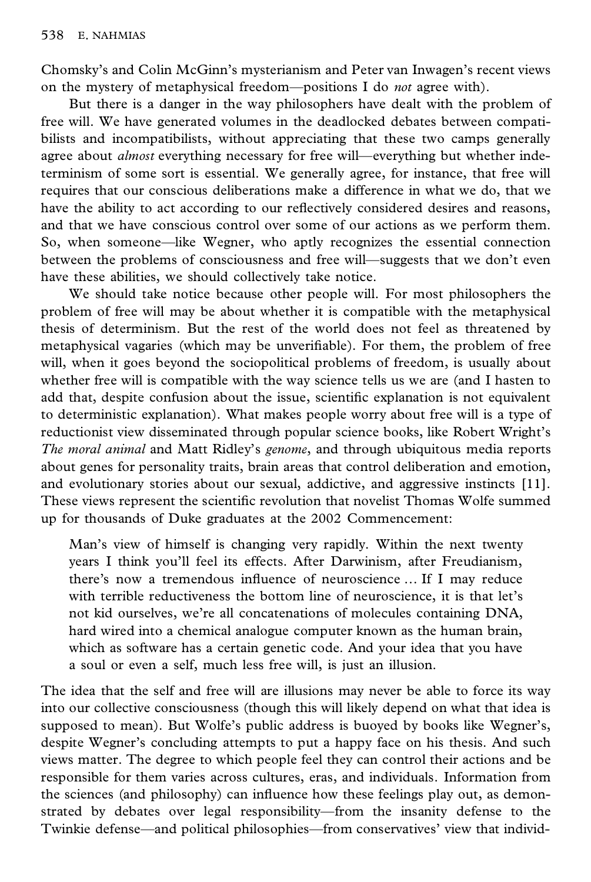Chomsky's and Colin McGinn's mysterianism and Peter van Inwagen's recent views on the mystery of metaphysical freedom—positions I do *not* agree with).

But there is a danger in the way philosophers have dealt with the problem of free will. We have generated volumes in the deadlocked debates between compatibilists and incompatibilists, without appreciating that these two camps generally agree about *almost* everything necessary for free will—everything but whether indeterminism of some sort is essential. We generally agree, for instance, that free will requires that our conscious deliberations make a difference in what we do, that we have the ability to act according to our reflectively considered desires and reasons, and that we have conscious control over some of our actions as we perform them. So, when someone—like Wegner, who aptly recognizes the essential connection between the problems of consciousness and free will—suggests that we don't even have these abilities, we should collectively take notice.

We should take notice because other people will. For most philosophers the problem of free will may be about whether it is compatible with the metaphysical thesis of determinism. But the rest of the world does not feel as threatened by metaphysical vagaries (which may be unverifiable). For them, the problem of free will, when it goes beyond the sociopolitical problems of freedom, is usually about whether free will is compatible with the way science tells us we are (and I hasten to add that, despite confusion about the issue, scientific explanation is not equivalent to deterministic explanation). What makes people worry about free will is a type of reductionist view disseminated through popular science books, like Robert Wright's *The moral animal* and Matt Ridley's *genome*, and through ubiquitous media reports about genes for personality traits, brain areas that control deliberation and emotion, and evolutionary stories about our sexual, addictive, and aggressive instincts [11]. These views represent the scientific revolution that novelist Thomas Wolfe summed up for thousands of Duke graduates at the 2002 Commencement:

Man's view of himself is changing very rapidly. Within the next twenty years I think you'll feel its effects. After Darwinism, after Freudianism, there's now a tremendous influence of neuroscience  $\ldots$  If I may reduce with terrible reductiveness the bottom line of neuroscience, it is that let's not kid ourselves, we're all concatenations of molecules containing DNA, hard wired into a chemical analogue computer known as the human brain, which as software has a certain genetic code. And your idea that you have a soul or even a self, much less free will, is just an illusion.

The idea that the self and free will are illusions may never be able to force its way into our collective consciousness (though this will likely depend on what that idea is supposed to mean). But Wolfe's public address is buoyed by books like Wegner's, despite Wegner's concluding attempts to put a happy face on his thesis. And such views matter. The degree to which people feel they can control their actions and be responsible for them varies across cultures, eras, and individuals. Information from the sciences (and philosophy) can influence how these feelings play out, as demonstrated by debates over legal responsibility—from the insanity defense to the Twinkie defense—and political philosophies—from conservatives' view that individ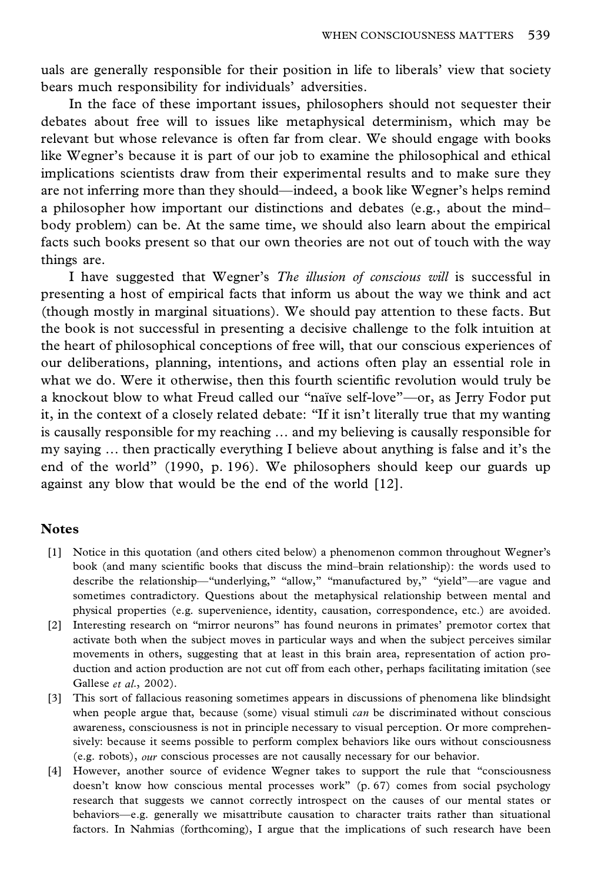uals are generally responsible for their position in life to liberals' view that society bears much responsibility for individuals' adversities.

In the face of these important issues, philosophers should not sequester their debates about free will to issues like metaphysical determinism, which may be relevant but whose relevance is often far from clear. We should engage with books like Wegner's because it is part of our job to examine the philosophical and ethical implications scientists draw from their experimental results and to make sure they are not inferring more than they should—indeed, a book like Wegner's helps remind a philosopher how important our distinctions and debates (e.g., about the mind– body problem) can be. At the same time, we should also learn about the empirical facts such books present so that our own theories are not out of touch with the way things are.

I have suggested that Wegner's *The illusion of conscious will* is successful in presenting a host of empirical facts that inform us about the way we think and act (though mostly in marginal situations). We should pay attention to these facts. But the book is not successful in presenting a decisive challenge to the folk intuition at the heart of philosophical conceptions of free will, that our conscious experiences of our deliberations, planning, intentions, and actions often play an essential role in what we do. Were it otherwise, then this fourth scientific revolution would truly be a knockout blow to what Freud called our "naïve self-love"—or, as Jerry Fodor put it, in the context of a closely related debate: "If it isn't literally true that my wanting is causally responsible for my reaching … and my believing is causally responsible for my saying … then practically everything I believe about anything is false and it's the end of the world" (1990, p. 196). We philosophers should keep our guards up against any blow that would be the end of the world [12].

## **Notes**

- [1] Notice in this quotation (and others cited below) a phenomenon common throughout Wegner's book (and many scientific books that discuss the mind–brain relationship): the words used to describe the relationship—"underlying," "allow," "manufactured by," "yield"—are vague and sometimes contradictory. Questions about the metaphysical relationship between mental and physical properties (e.g. supervenience, identity, causation, correspondence, etc.) are avoided.
- [2] Interesting research on "mirror neurons" has found neurons in primates' premotor cortex that activate both when the subject moves in particular ways and when the subject perceives similar movements in others, suggesting that at least in this brain area, representation of action production and action production are not cut off from each other, perhaps facilitating imitation (see Gallese *et al*., 2002).
- [3] This sort of fallacious reasoning sometimes appears in discussions of phenomena like blindsight when people argue that, because (some) visual stimuli *can* be discriminated without conscious awareness, consciousness is not in principle necessary to visual perception. Or more comprehensively: because it seems possible to perform complex behaviors like ours without consciousness (e.g. robots), *our* conscious processes are not causally necessary for our behavior.
- [4] However, another source of evidence Wegner takes to support the rule that "consciousness doesn't know how conscious mental processes work" (p. 67) comes from social psychology research that suggests we cannot correctly introspect on the causes of our mental states or behaviors—e.g. generally we misattribute causation to character traits rather than situational factors. In Nahmias (forthcoming), I argue that the implications of such research have been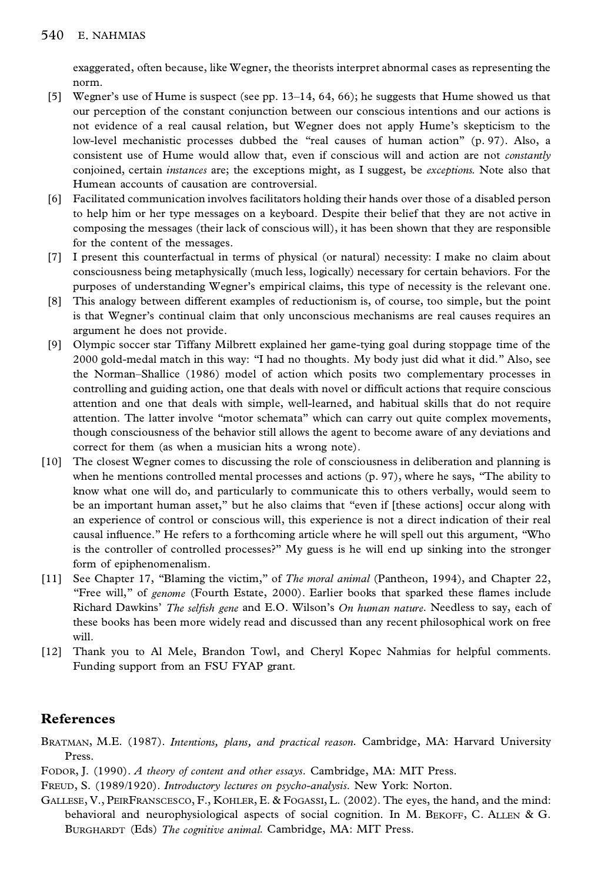exaggerated, often because, like Wegner, the theorists interpret abnormal cases as representing the norm.

- [5] Wegner's use of Hume is suspect (see pp. 13–14, 64, 66); he suggests that Hume showed us that our perception of the constant conjunction between our conscious intentions and our actions is not evidence of a real causal relation, but Wegner does not apply Hume's skepticism to the low-level mechanistic processes dubbed the "real causes of human action" (p. 97). Also, a consistent use of Hume would allow that, even if conscious will and action are not *constantly* conjoined, certain *instances* are; the exceptions might, as I suggest, be *exceptions*. Note also that Humean accounts of causation are controversial.
- [6] Facilitated communication involves facilitators holding their hands over those of a disabled person to help him or her type messages on a keyboard. Despite their belief that they are not active in composing the messages (their lack of conscious will), it has been shown that they are responsible for the content of the messages.
- [7] I present this counterfactual in terms of physical (or natural) necessity: I make no claim about consciousness being metaphysically (much less, logically) necessary for certain behaviors. For the purposes of understanding Wegner's empirical claims, this type of necessity is the relevant one.
- [8] This analogy between different examples of reductionism is, of course, too simple, but the point is that Wegner's continual claim that only unconscious mechanisms are real causes requires an argument he does not provide.
- [9] Olympic soccer star Tiffany Milbrett explained her game-tying goal during stoppage time of the 2000 gold-medal match in this way: "I had no thoughts. My body just did what it did." Also, see the Norman–Shallice (1986) model of action which posits two complementary processes in controlling and guiding action, one that deals with novel or difficult actions that require conscious attention and one that deals with simple, well-learned, and habitual skills that do not require attention. The latter involve "motor schemata" which can carry out quite complex movements, though consciousness of the behavior still allows the agent to become aware of any deviations and correct for them (as when a musician hits a wrong note).
- [10] The closest Wegner comes to discussing the role of consciousness in deliberation and planning is when he mentions controlled mental processes and actions (p. 97), where he says, "The ability to know what one will do, and particularly to communicate this to others verbally, would seem to be an important human asset," but he also claims that "even if [these actions] occur along with an experience of control or conscious will, this experience is not a direct indication of their real causal influence." He refers to a forthcoming article where he will spell out this argument, "Who is the controller of controlled processes?" My guess is he will end up sinking into the stronger form of epiphenomenalism.
- [11] See Chapter 17, "Blaming the victim," of *The moral animal* (Pantheon, 1994), and Chapter 22, "Free will," of *genome* (Fourth Estate, 2000). Earlier books that sparked these flames include Richard Dawkins' *The sel sh gene* and E.O. Wilson's *On human nature*. Needless to say, each of these books has been more widely read and discussed than any recent philosophical work on free will.
- [12] Thank you to Al Mele, Brandon Towl, and Cheryl Kopec Nahmias for helpful comments. Funding support from an FSU FYAP grant.

## **References**

- BRATMAN, M.E. (1987). *Intentions, plans, and practical reason*. Cambridge, MA: Harvard University Press.
- FODOR, J. (1990). *A theory of content and other essays*. Cambridge, MA: MIT Press.
- FREUD, S. (1989/1920). *Introductory lectures on psycho-analysis*. New York: Norton.
- GALLESE, V., PEIRFRANSCESCO, F., KOHLER, E. & FOGASSI, L. (2002). The eyes, the hand, and the mind: behavioral and neurophysiological aspects of social cognition. In M. BEKOFF, C. ALLEN & G. BURGHARDT (Eds) *The cognitive animal*. Cambridge, MA: MIT Press.